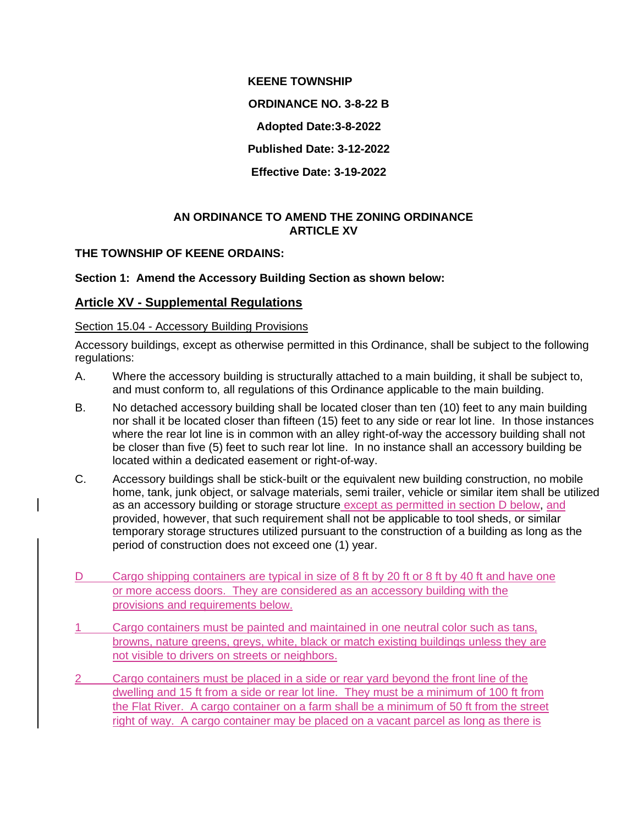**KEENE TOWNSHIP**

**ORDINANCE NO. 3-8-22 B**

**Adopted Date:3-8-2022**

**Published Date: 3-12-2022**

**Effective Date: 3-19-2022**

## **AN ORDINANCE TO AMEND THE ZONING ORDINANCE ARTICLE XV**

# **THE TOWNSHIP OF KEENE ORDAINS:**

# **Section 1: Amend the Accessory Building Section as shown below:**

# **Article XV - Supplemental Regulations**

### Section 15.04 - Accessory Building Provisions

Accessory buildings, except as otherwise permitted in this Ordinance, shall be subject to the following regulations:

- A. Where the accessory building is structurally attached to a main building, it shall be subject to, and must conform to, all regulations of this Ordinance applicable to the main building.
- B. No detached accessory building shall be located closer than ten (10) feet to any main building nor shall it be located closer than fifteen (15) feet to any side or rear lot line. In those instances where the rear lot line is in common with an alley right-of-way the accessory building shall not be closer than five (5) feet to such rear lot line. In no instance shall an accessory building be located within a dedicated easement or right-of-way.
- C. Accessory buildings shall be stick-built or the equivalent new building construction, no mobile home, tank, junk object, or salvage materials, semi trailer, vehicle or similar item shall be utilized as an accessory building or storage structure except as permitted in section D below, and provided, however, that such requirement shall not be applicable to tool sheds, or similar temporary storage structures utilized pursuant to the construction of a building as long as the period of construction does not exceed one (1) year.
- D Cargo shipping containers are typical in size of 8 ft by 20 ft or 8 ft by 40 ft and have one or more access doors. They are considered as an accessory building with the provisions and requirements below.
- 1 Cargo containers must be painted and maintained in one neutral color such as tans, browns, nature greens, greys, white, black or match existing buildings unless they are not visible to drivers on streets or neighbors.
- 2 Cargo containers must be placed in a side or rear yard beyond the front line of the dwelling and 15 ft from a side or rear lot line. They must be a minimum of 100 ft from the Flat River. A cargo container on a farm shall be a minimum of 50 ft from the street right of way. A cargo container may be placed on a vacant parcel as long as there is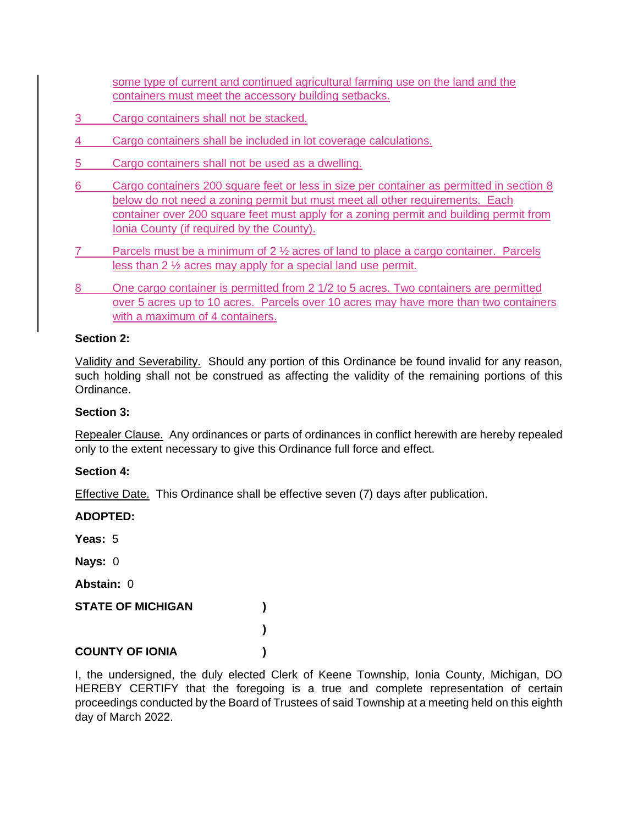some type of current and continued agricultural farming use on the land and the containers must meet the accessory building setbacks.

- 3 Cargo containers shall not be stacked.
- 4 Cargo containers shall be included in lot coverage calculations.
- 5 Cargo containers shall not be used as a dwelling.
- 6 Cargo containers 200 square feet or less in size per container as permitted in section 8 below do not need a zoning permit but must meet all other requirements. Each container over 200 square feet must apply for a zoning permit and building permit from Ionia County (if required by the County).
- 7 Parcels must be a minimum of 2 ½ acres of land to place a cargo container. Parcels less than 2 ½ acres may apply for a special land use permit.
- 8 One cargo container is permitted from 2 1/2 to 5 acres. Two containers are permitted over 5 acres up to 10 acres. Parcels over 10 acres may have more than two containers with a maximum of 4 containers.

### **Section 2:**

Validity and Severability. Should any portion of this Ordinance be found invalid for any reason, such holding shall not be construed as affecting the validity of the remaining portions of this Ordinance.

### **Section 3:**

Repealer Clause. Any ordinances or parts of ordinances in conflict herewith are hereby repealed only to the extent necessary to give this Ordinance full force and effect.

### **Section 4:**

Effective Date. This Ordinance shall be effective seven (7) days after publication.

| <b>ADOPTED:</b>          |  |
|--------------------------|--|
| Yeas: 5                  |  |
| Nays: 0                  |  |
| Abstain: 0               |  |
| <b>STATE OF MICHIGAN</b> |  |
|                          |  |
| <b>COUNTY OF IONIA</b>   |  |

I, the undersigned, the duly elected Clerk of Keene Township, Ionia County, Michigan, DO HEREBY CERTIFY that the foregoing is a true and complete representation of certain proceedings conducted by the Board of Trustees of said Township at a meeting held on this eighth day of March 2022.